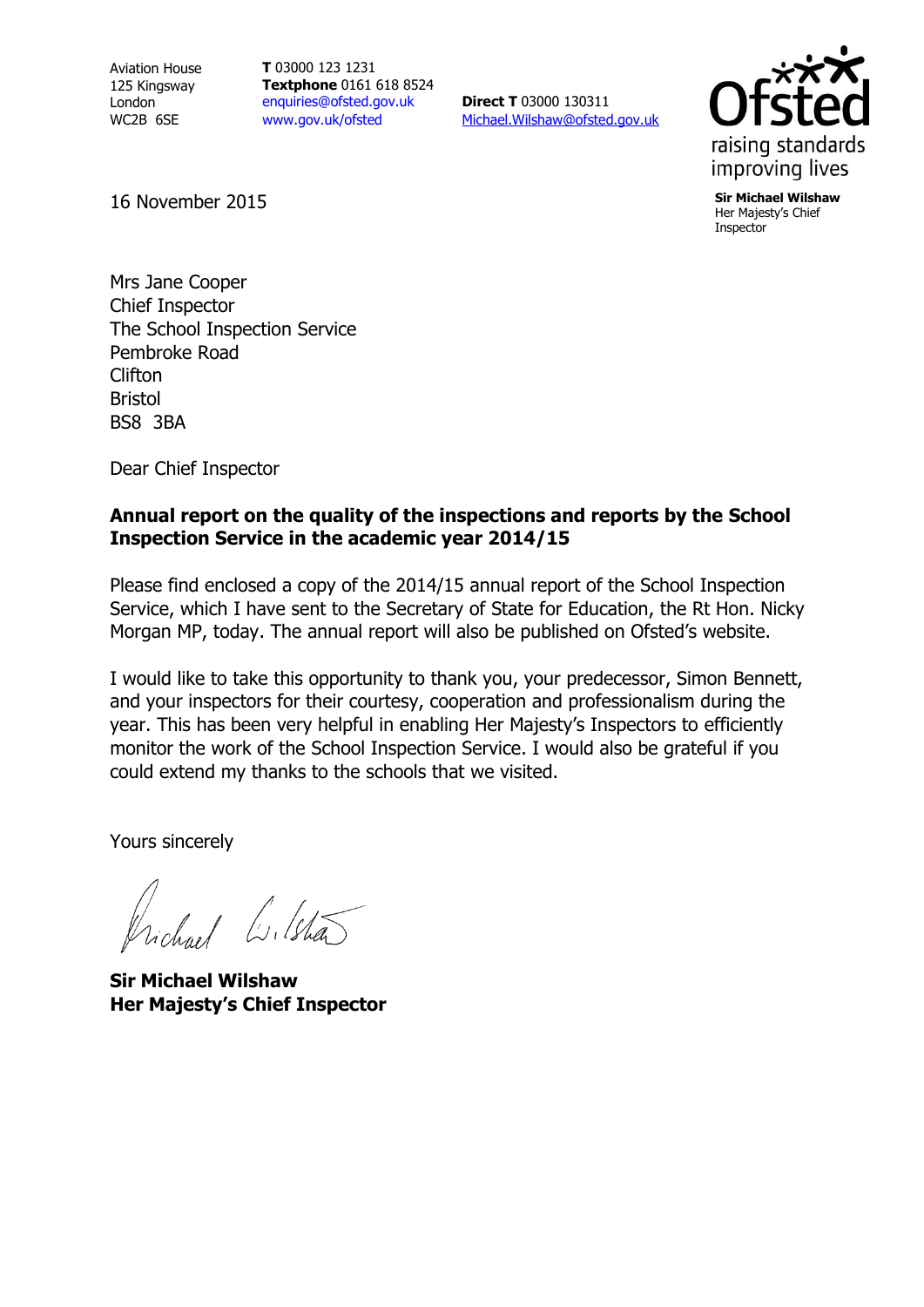Aviation House 125 Kingsway London WC2B 6SE

**T** 03000 123 1231 **Textphone** 0161 618 8524 [enquiries@ofsted.gov.uk](mailto:enquiries@ofsted.gov.uk) [www.gov.uk/ofsted](http://www.ofsted.gov.uk/)

**Direct T** 03000 130311 [Michael.Wilshaw@ofsted.gov.uk](mailto:Michael.Wilshaw@ofsted.gov.uk)



Her Majesty's Chief Inspector

16 November 2015 **Sir Michael Wilshaw**

Mrs Jane Cooper Chief Inspector The School Inspection Service Pembroke Road Clifton Bristol BS8 3BA

Dear Chief Inspector

#### **Annual report on the quality of the inspections and reports by the School Inspection Service in the academic year 2014/15**

Please find enclosed a copy of the 2014/15 annual report of the School Inspection Service, which I have sent to the Secretary of State for Education, the Rt Hon. Nicky Morgan MP, today. The annual report will also be published on Ofsted's website.

I would like to take this opportunity to thank you, your predecessor, Simon Bennett, and your inspectors for their courtesy, cooperation and professionalism during the year. This has been very helpful in enabling Her Majesty's Inspectors to efficiently monitor the work of the School Inspection Service. I would also be grateful if you could extend my thanks to the schools that we visited.

Yours sincerely

ichael Colstã

**Sir Michael Wilshaw Her Majesty's Chief Inspector**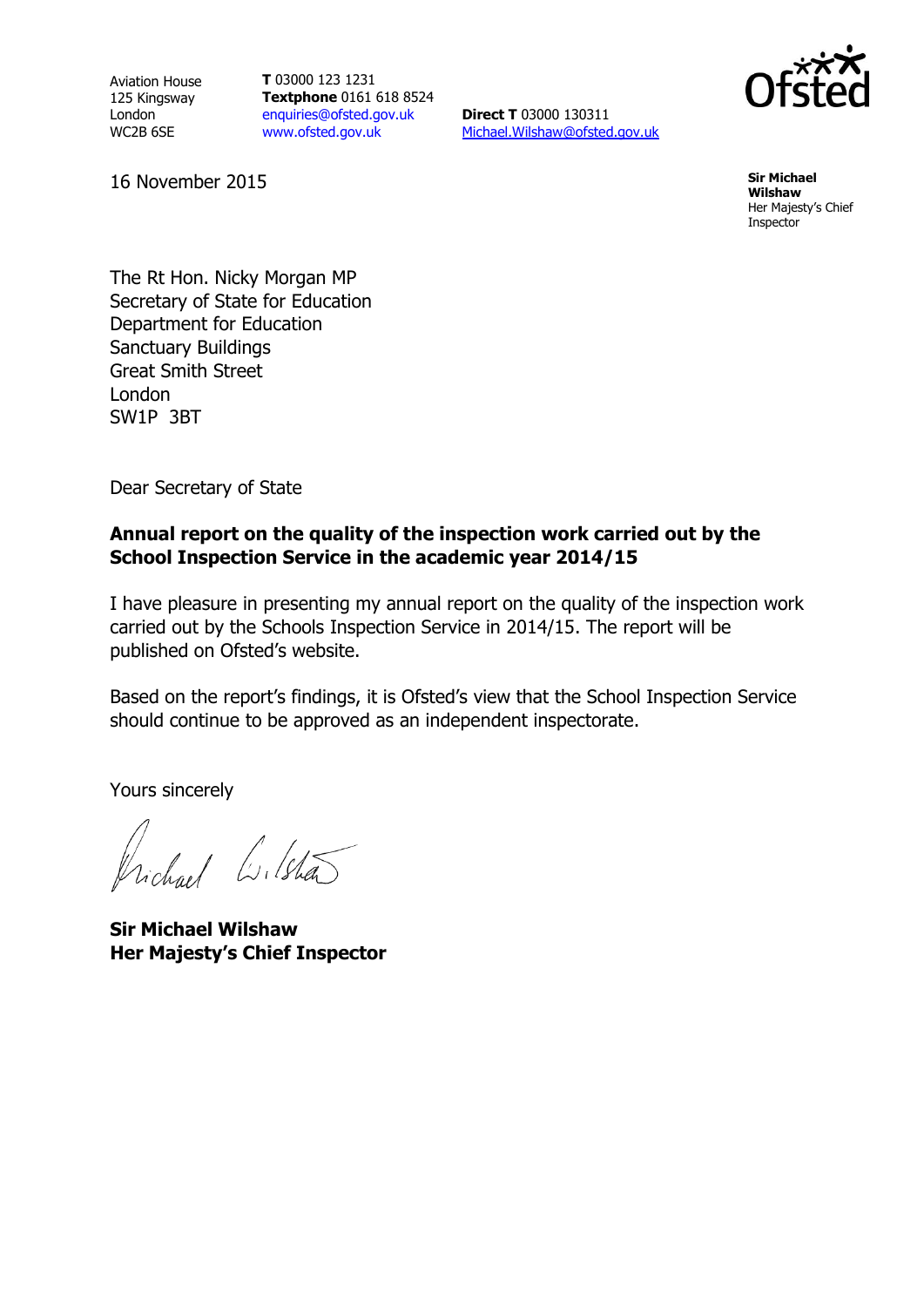Aviation House 125 Kingsway London WC2B 6SE

**T** 03000 123 1231 **Textphone** 0161 618 8524 [enquiries@ofsted.gov.uk](mailto:enquiries@ofsted.gov.uk) [www.ofsted.gov.uk](http://www.ofsted.gov.uk/)

**Direct T** 03000 130311 [Michael.Wilshaw@ofsted.gov.uk](mailto:Michael.Wilshaw@ofsted.gov.uk)



**Wilshaw** Her Majesty's Chief Inspector

16 November 2015 **Sir Michael** 

The Rt Hon. Nicky Morgan MP Secretary of State for Education Department for Education Sanctuary Buildings Great Smith Street London SW1P 3BT

Dear Secretary of State

#### **Annual report on the quality of the inspection work carried out by the School Inspection Service in the academic year 2014/15**

I have pleasure in presenting my annual report on the quality of the inspection work carried out by the Schools Inspection Service in 2014/15. The report will be published on Ofsted's website.

Based on the report's findings, it is Ofsted's view that the School Inspection Service should continue to be approved as an independent inspectorate.

Yours sincerely

Vichael Liletão

**Sir Michael Wilshaw Her Majesty's Chief Inspector**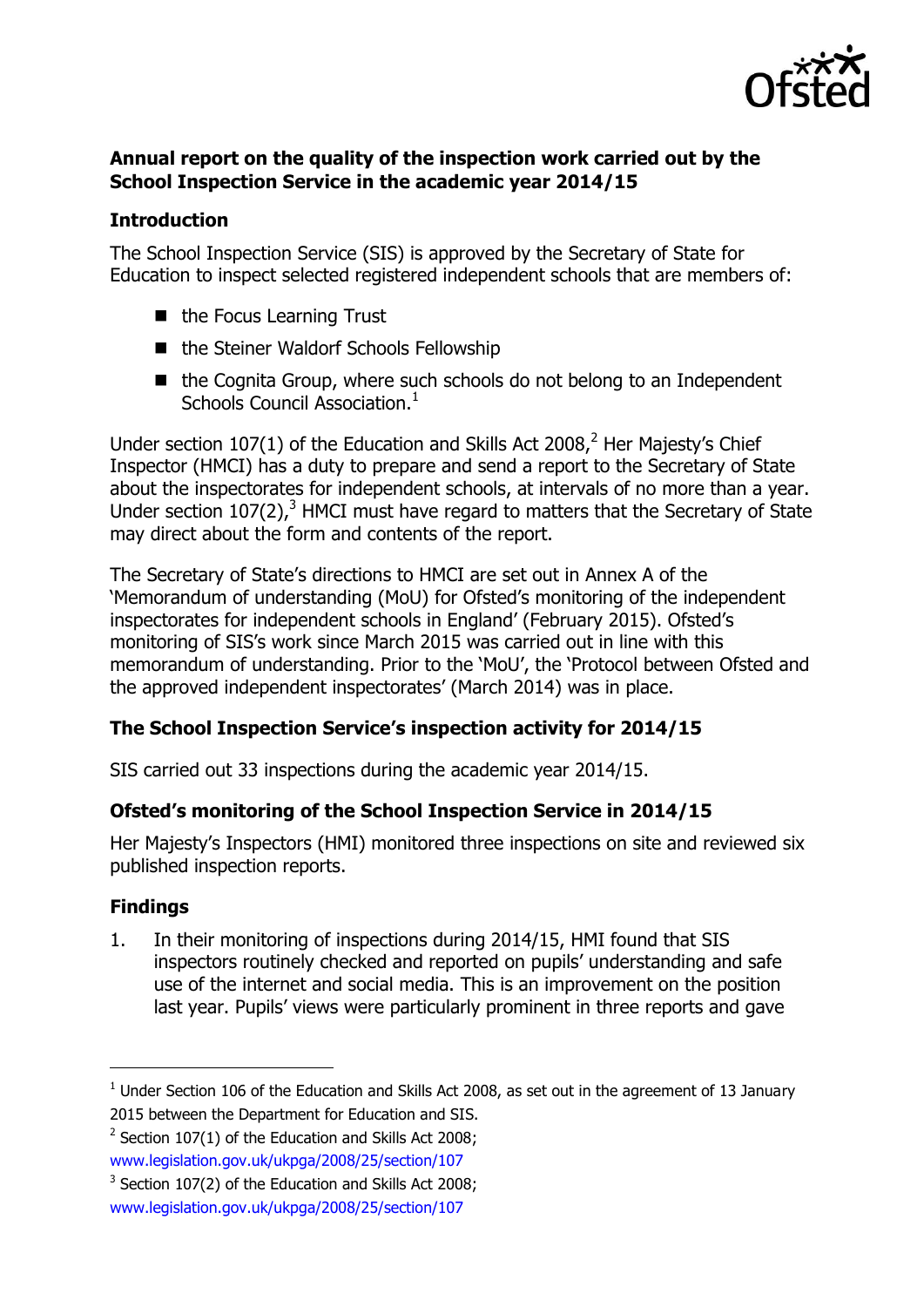

## **Annual report on the quality of the inspection work carried out by the School Inspection Service in the academic year 2014/15**

## **Introduction**

The School Inspection Service (SIS) is approved by the Secretary of State for Education to inspect selected registered independent schools that are members of:

- the Focus Learning Trust
- the Steiner Waldorf Schools Fellowship
- the Cognita Group, where such schools do not belong to an Independent Schools Council Association.<sup>1</sup>

Under section 107(1) of the Education and Skills Act 2008,<sup>2</sup> Her Majesty's Chief Inspector (HMCI) has a duty to prepare and send a report to the Secretary of State about the inspectorates for independent schools, at intervals of no more than a year. Under section  $107(2)$ ,<sup>3</sup> HMCI must have regard to matters that the Secretary of State may direct about the form and contents of the report.

The Secretary of State's directions to HMCI are set out in Annex A of the 'Memorandum of understanding (MoU) for Ofsted's monitoring of the independent inspectorates for independent schools in England' (February 2015). Ofsted's monitoring of SIS's work since March 2015 was carried out in line with this memorandum of understanding. Prior to the 'MoU', the 'Protocol between Ofsted and the approved independent inspectorates' (March 2014) was in place.

# **The School Inspection Service's inspection activity for 2014/15**

SIS carried out 33 inspections during the academic year 2014/15.

# **Ofsted's monitoring of the School Inspection Service in 2014/15**

Her Majesty's Inspectors (HMI) monitored three inspections on site and reviewed six published inspection reports.

# **Findings**

 $\overline{a}$ 

1. In their monitoring of inspections during 2014/15, HMI found that SIS inspectors routinely checked and reported on pupils' understanding and safe use of the internet and social media. This is an improvement on the position last year. Pupils' views were particularly prominent in three reports and gave

[www.legislation.gov.uk/ukpga/2008/25/section/107](http://www.legislation.gov.uk/ukpga/2008/25/section/107)

 $1$  Under Section 106 of the Education and Skills Act 2008, as set out in the agreement of 13 January 2015 between the Department for Education and SIS.

 $2$  Section 107(1) of the Education and Skills Act 2008;

 $3$  Section 107(2) of the Education and Skills Act 2008;

[www.legislation.gov.uk/ukpga/2008/25/section/107](http://www.legislation.gov.uk/ukpga/2008/25/section/107)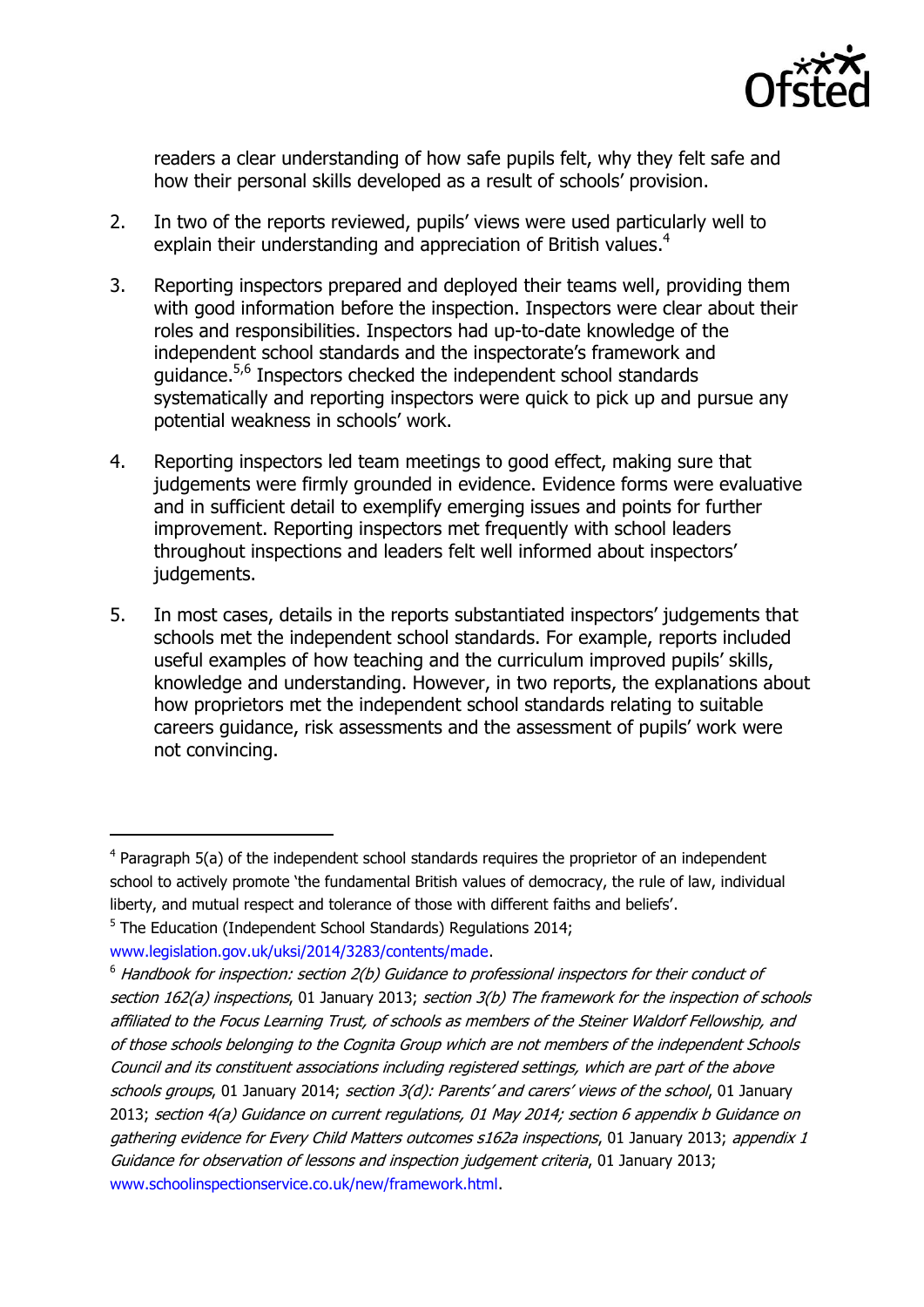

readers a clear understanding of how safe pupils felt, why they felt safe and how their personal skills developed as a result of schools' provision.

- 2. In two of the reports reviewed, pupils' views were used particularly well to explain their understanding and appreciation of British values.<sup>4</sup>
- 3. Reporting inspectors prepared and deployed their teams well, providing them with good information before the inspection. Inspectors were clear about their roles and responsibilities. Inspectors had up-to-date knowledge of the independent school standards and the inspectorate's framework and guidance.<sup>5,6</sup> Inspectors checked the independent school standards systematically and reporting inspectors were quick to pick up and pursue any potential weakness in schools' work.
- 4. Reporting inspectors led team meetings to good effect, making sure that judgements were firmly grounded in evidence. Evidence forms were evaluative and in sufficient detail to exemplify emerging issues and points for further improvement. Reporting inspectors met frequently with school leaders throughout inspections and leaders felt well informed about inspectors' judgements.
- 5. In most cases, details in the reports substantiated inspectors' judgements that schools met the independent school standards. For example, reports included useful examples of how teaching and the curriculum improved pupils' skills, knowledge and understanding. However, in two reports, the explanations about how proprietors met the independent school standards relating to suitable careers guidance, risk assessments and the assessment of pupils' work were not convincing.

 $\overline{a}$ 

 $4$  Paragraph 5(a) of the independent school standards requires the proprietor of an independent school to actively promote 'the fundamental British values of democracy, the rule of law, individual liberty, and mutual respect and tolerance of those with different faiths and beliefs'.

<sup>&</sup>lt;sup>5</sup> The Education (Independent School Standards) Regulations 2014;

[www.legislation.gov.uk/uksi/2014/3283/contents/made.](http://www.legislation.gov.uk/uksi/2014/3283/contents/made)

 $6$  Handbook for inspection: section 2(b) Guidance to professional inspectors for their conduct of section 162(a) inspections, 01 January 2013; section 3(b) The framework for the inspection of schools affiliated to the Focus Learning Trust, of schools as members of the Steiner Waldorf Fellowship, and of those schools belonging to the Cognita Group which are not members of the independent Schools Council and its constituent associations including registered settings, which are part of the above schools groups, 01 January 2014; section 3(d): Parents' and carers' views of the school, 01 January 2013; section 4(a) Guidance on current regulations, 01 May 2014; section 6 appendix b Guidance on gathering evidence for Every Child Matters outcomes s162a inspections, 01 January 2013; appendix 1 Guidance for observation of lessons and inspection judgement criteria, 01 January 2013; [www.schoolinspectionservice.co.uk/new/framework.html.](http://www.schoolinspectionservice.co.uk/new/framework.html)